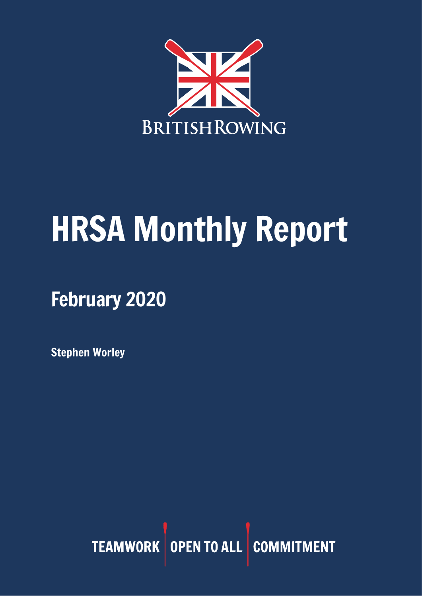

# HRSA Monthly Report

February 2020

Stephen Worley

TEAMWORK OPEN TO ALL COMMITMENT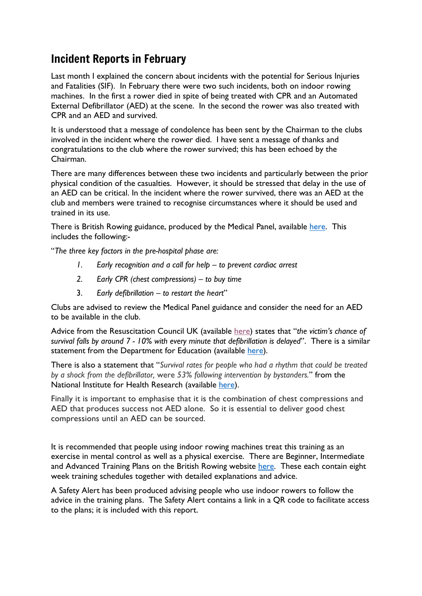## Incident Reports in February

Last month I explained the concern about incidents with the potential for Serious Injuries and Fatalities (SIF). In February there were two such incidents, both on indoor rowing machines. In the first a rower died in spite of being treated with CPR and an Automated External Defibrillator (AED) at the scene. In the second the rower was also treated with CPR and an AED and survived.

It is understood that a message of condolence has been sent by the Chairman to the clubs involved in the incident where the rower died. I have sent a message of thanks and congratulations to the club where the rower survived; this has been echoed by the Chairman.

There are many differences between these two incidents and particularly between the prior physical condition of the casualties. However, it should be stressed that delay in the use of an AED can be critical. In the incident where the rower survived, there was an AED at the club and members were trained to recognise circumstances where it should be used and trained in its use.

There is British Rowing guidance, produced by the Medical Panel, available [here.](https://www.britishrowing.org/2018/05/cardiac-arrest-care/) This includes the following:-

"*The three key factors in the pre-hospital phase are:*

- *1. Early recognition and a call for help – to prevent cardiac arrest*
- *2. Early CPR (chest compressions) – to buy time*
- 3. *Early defibrillation – to restart the heart*"

Clubs are advised to review the Medical Panel guidance and consider the need for an AED to be available in the club.

Advice from the Resuscitation Council UK (available [here\)](https://www.google.co.uk/url?sa=t&rct=j&q=&esrc=s&source=web&cd=11&ved=2ahUKEwjptO6s9fPnAhWytXEKHa__CfkQFjAKegQIAhAB&url=https%3A%2F%2Fwww.bhf.org.uk%2F-%2Fmedia%2Ffiles%2Fhcps%2Faed_guide_01-08-17.pdf&usg=AOvVaw3RSHFgsILasctO79w63NN3) states that "*the victim's chance of survival falls by around 7 - 10% with every minute that defibrillation is delayed*". There is a similar statement from the Department for Education (available [here\)](https://assets.publishing.service.gov.uk/government/uploads/system/uploads/attachment_data/file/843393/AED_guide_for_schools_Sept2019_v2_accessible.pdf).

There is also a statement that "*Survival rates for people who had a rhythm that could be treated by a shock from the defibrillator,* were *53% following intervention by bystanders.*" from the National Institute for Health Research (available [here\)](https://discover.dc.nihr.ac.uk/content/signal-000473/use-of-public-defibrillators-linked-to-out-of-hospital-cardiac-arrest-survival).

Finally it is important to emphasise that it is the combination of chest compressions and AED that produces success not AED alone. So it is essential to deliver good chest compressions until an AED can be sourced.

It is recommended that people using indoor rowing machines treat this training as an exercise in mental control as well as a physical exercise. There are Beginner, Intermediate and Advanced Training Plans on the British Rowing website [here.](https://www.britishrowing.org/indoor-rowing/go-row-indoor/how-to-indoor-row/british-rowing-training-plans/) These each contain eight week training schedules together with detailed explanations and advice.

A Safety Alert has been produced advising people who use indoor rowers to follow the advice in the training plans. The Safety Alert contains a link in a QR code to facilitate access to the plans; it is included with this report.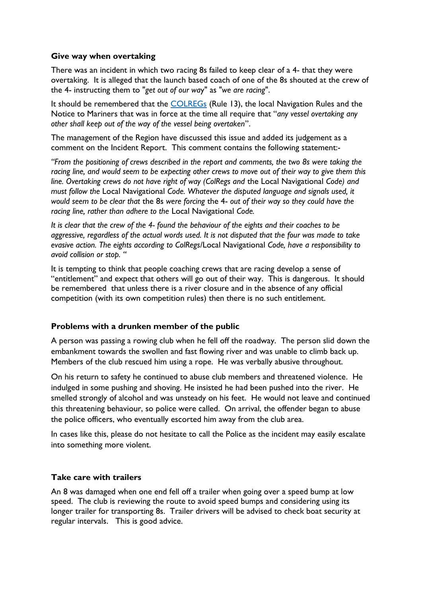#### **Give way when overtaking**

There was an incident in which two racing 8s failed to keep clear of a 4- that they were overtaking. It is alleged that the launch based coach of one of the 8s shouted at the crew of the 4- instructing them to "*get out of our wa*y" as "*we are racing*".

It should be remembered that the [COLREGs](http://www.collisionregs.com/Collregs.html) (Rule 13), the local Navigation Rules and the Notice to Mariners that was in force at the time all require that "*any vessel overtaking any other shall keep out of the way of the vessel being overtaken*".

The management of the Region have discussed this issue and added its judgement as a comment on the Incident Report. This comment contains the following statement:-

*"From the positioning of crews described in the report and comments, the two 8s were taking the racing line, and would seem to be expecting other crews to move out of their way to give them this line. Overtaking crews do not have right of way (ColRegs and* the Local Navigational *Code) and must follow the* Local Navigational *Code. Whatever the disputed language and signals used, it would seem to be clear that* the 8s *were forcing* the 4- *out of their way so they could have the racing line, rather than adhere to the* Local Navigational *Code.* 

*It is clear that the crew of the 4- found the behaviour of the eights and their coaches to be aggressive, regardless of the actual words used. It is not disputed that the four was made to take evasive action. The eights according to ColRegs/*Local Navigational *Code, have a responsibility to avoid collision or stop. "* 

It is tempting to think that people coaching crews that are racing develop a sense of "entitlement" and expect that others will go out of their way. This is dangerous. It should be remembered that unless there is a river closure and in the absence of any official competition (with its own competition rules) then there is no such entitlement.

#### **Problems with a drunken member of the public**

A person was passing a rowing club when he fell off the roadway. The person slid down the embankment towards the swollen and fast flowing river and was unable to climb back up. Members of the club rescued him using a rope. He was verbally abusive throughout.

On his return to safety he continued to abuse club members and threatened violence. He indulged in some pushing and shoving. He insisted he had been pushed into the river. He smelled strongly of alcohol and was unsteady on his feet. He would not leave and continued this threatening behaviour, so police were called. On arrival, the offender began to abuse the police officers, who eventually escorted him away from the club area.

In cases like this, please do not hesitate to call the Police as the incident may easily escalate into something more violent.

#### **Take care with trailers**

An 8 was damaged when one end fell off a trailer when going over a speed bump at low speed. The club is reviewing the route to avoid speed bumps and considering using its longer trailer for transporting 8s. Trailer drivers will be advised to check boat security at regular intervals. This is good advice.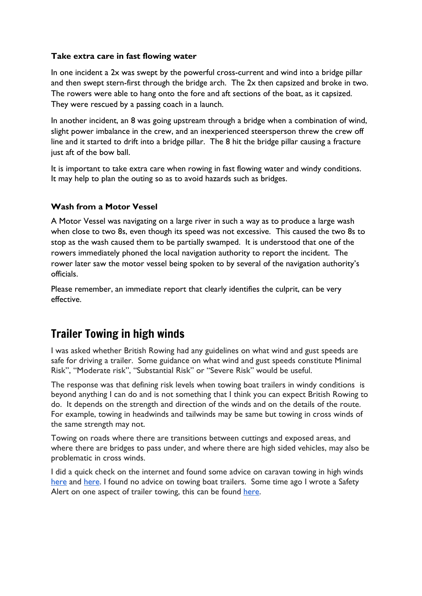#### **Take extra care in fast flowing water**

In one incident a 2x was swept by the powerful cross-current and wind into a bridge pillar and then swept stern-first through the bridge arch. The 2x then capsized and broke in two. The rowers were able to hang onto the fore and aft sections of the boat, as it capsized. They were rescued by a passing coach in a launch.

In another incident, an 8 was going upstream through a bridge when a combination of wind, slight power imbalance in the crew, and an inexperienced steersperson threw the crew off line and it started to drift into a bridge pillar. The 8 hit the bridge pillar causing a fracture just aft of the bow ball.

It is important to take extra care when rowing in fast flowing water and windy conditions. It may help to plan the outing so as to avoid hazards such as bridges.

#### **Wash from a Motor Vessel**

A Motor Vessel was navigating on a large river in such a way as to produce a large wash when close to two 8s, even though its speed was not excessive. This caused the two 8s to stop as the wash caused them to be partially swamped. It is understood that one of the rowers immediately phoned the local navigation authority to report the incident. The rower later saw the motor vessel being spoken to by several of the navigation authority's officials.

Please remember, an immediate report that clearly identifies the culprit, can be very effective.

## Trailer Towing in high winds

I was asked whether British Rowing had any guidelines on what wind and gust speeds are safe for driving a trailer. Some guidance on what wind and gust speeds constitute Minimal Risk", "Moderate risk", "Substantial Risk" or "Severe Risk" would be useful.

The response was that defining risk levels when towing boat trailers in windy conditions is beyond anything I can do and is not something that I think you can expect British Rowing to do. It depends on the strength and direction of the winds and on the details of the route. For example, towing in headwinds and tailwinds may be same but towing in cross winds of the same strength may not.

Towing on roads where there are transitions between cuttings and exposed areas, and where there are bridges to pass under, and where there are high sided vehicles, may also be problematic in cross winds.

I did a quick check on the internet and found some advice on caravan towing in high winds [here](http://www.caravantimes.co.uk/features/people/human-interest/feature-top-tips-for-towing-caravans-in-windy-conditions-$21383741.htm) and [here.](https://www.axa.co.uk/car-insurance/tips-and-guides/driving-in-high-winds/) I found no advice on towing boat trailers. Some time ago I wrote a Safety Alert on one aspect of trailer towing, this can be found [here.](https://www.britishrowing.org/wp-content/uploads/2015/09/Safety-Alert-2014-Trailer-Towing.pdf)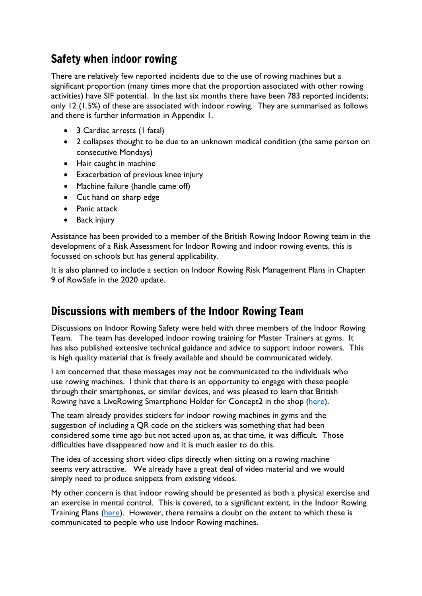## Safety when indoor rowing

There are relatively few reported incidents due to the use of rowing machines but a significant proportion (many times more that the proportion associated with other rowing activities) have SIF potential. In the last six months there have been 783 reported incidents; only 12 (1.5%) of these are associated with indoor rowing. They are summarised as follows and there is further information in Appendix 1.

- 3 Cardiac arrests (1 fatal)
- 2 collapses thought to be due to an unknown medical condition (the same person on consecutive Mondays)
- Hair caught in machine
- Exacerbation of previous knee injury
- Machine failure (handle came off)
- Cut hand on sharp edge
- Panic attack
- Back injury

Assistance has been provided to a member of the British Rowing Indoor Rowing team in the development of a Risk Assessment for Indoor Rowing and indoor rowing events, this is focussed on schools but has general applicability.

It is also planned to include a section on Indoor Rowing Risk Management Plans in Chapter 9 of RowSafe in the 2020 update.

## Discussions with members of the Indoor Rowing Team

Discussions on Indoor Rowing Safety were held with three members of the Indoor Rowing Team. The team has developed indoor rowing training for Master Trainers at gyms. It has also published extensive technical guidance and advice to support indoor rowers. This is high quality material that is freely available and should be communicated widely.

I am concerned that these messages may not be communicated to the individuals who use rowing machines. I think that there is an opportunity to engage with these people through their smartphones, or similar devices, and was pleased to learn that British Rowing have a LiveRowing Smartphone Holder for Concept2 in the shop [\(here\)](https://britishrowing.orbgroup.co.uk/liverowing-concept-2-connector-cable-1350).

The team already provides stickers for indoor rowing machines in gyms and the suggestion of including a QR code on the stickers was something that had been considered some time ago but not acted upon as, at that time, it was difficult. Those difficulties have disappeared now and it is much easier to do this.

The idea of accessing short video clips directly when sitting on a rowing machine seems very attractive. We already have a great deal of video material and we would simply need to produce snippets from existing videos.

My other concern is that indoor rowing should be presented as both a physical exercise and an exercise in mental control. This is covered, to a significant extent, in the Indoor Rowing Training Plans [\(here\)](https://www.britishrowing.org/indoor-rowing/go-row-indoor/how-to-indoor-row/british-rowing-training-plans/). However, there remains a doubt on the extent to which these is communicated to people who use Indoor Rowing machines.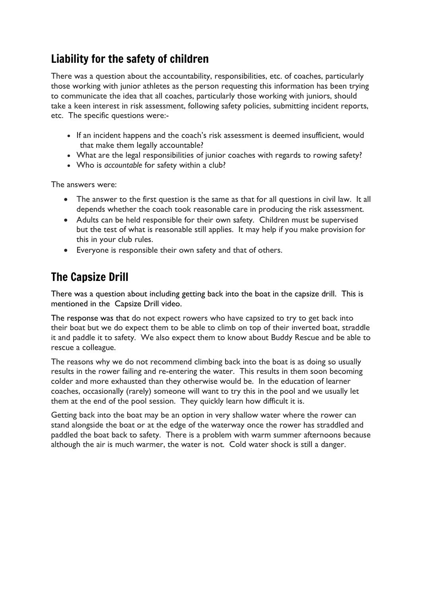# Liability for the safety of children

There was a question about the accountability, responsibilities, etc. of coaches, particularly those working with junior athletes as the person requesting this information has been trying to communicate the idea that all coaches, particularly those working with juniors, should take a keen interest in risk assessment, following safety policies, submitting incident reports, etc. The specific questions were:-

- If an incident happens and the coach's risk assessment is deemed insufficient, would that make them legally accountable?
- What are the legal responsibilities of junior coaches with regards to rowing safety?
- Who is *accountable* for safety within a club?

The answers were:

- The answer to the first question is the same as that for all questions in civil law. It all depends whether the coach took reasonable care in producing the risk assessment.
- Adults can be held responsible for their own safety. Children must be supervised but the test of what is reasonable still applies. It may help if you make provision for this in your club rules.
- Everyone is responsible their own safety and that of others.

## The Capsize Drill

There was a question about including getting back into the boat in the capsize drill. This is mentioned in the Capsize Drill video.

The response was that do not expect rowers who have capsized to try to get back into their boat but we do expect them to be able to climb on top of their inverted boat, straddle it and paddle it to safety. We also expect them to know about Buddy Rescue and be able to rescue a colleague.

The reasons why we do not recommend climbing back into the boat is as doing so usually results in the rower failing and re-entering the water. This results in them soon becoming colder and more exhausted than they otherwise would be. In the education of learner coaches, occasionally (rarely) someone will want to try this in the pool and we usually let them at the end of the pool session. They quickly learn how difficult it is.

Getting back into the boat may be an option in very shallow water where the rower can stand alongside the boat or at the edge of the waterway once the rower has straddled and paddled the boat back to safety. There is a problem with warm summer afternoons because although the air is much warmer, the water is not. Cold water shock is still a danger.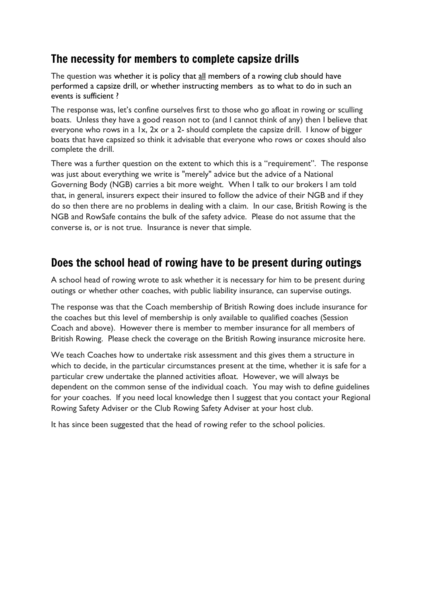## The necessity for members to complete capsize drills

The question was whether it is policy that all members of a rowing club should have performed a capsize drill, or whether instructing members as to what to do in such an events is sufficient ?

The response was, let's confine ourselves first to those who go afloat in rowing or sculling boats. Unless they have a good reason not to (and I cannot think of any) then I believe that everyone who rows in a 1x, 2x or a 2- should complete the capsize drill. I know of bigger boats that have capsized so think it advisable that everyone who rows or coxes should also complete the drill.

There was a further question on the extent to which this is a "requirement". The response was just about everything we write is "merely" advice but the advice of a National Governing Body (NGB) carries a bit more weight. When I talk to our brokers I am told that, in general, insurers expect their insured to follow the advice of their NGB and if they do so then there are no problems in dealing with a claim. In our case, British Rowing is the NGB and RowSafe contains the bulk of the safety advice. Please do not assume that the converse is, or is not true. Insurance is never that simple.

## Does the school head of rowing have to be present during outings

A school head of rowing wrote to ask whether it is necessary for him to be present during outings or whether other coaches, with public liability insurance, can supervise outings.

The response was that the Coach membership of British Rowing does include insurance for the coaches but this level of membership is only available to qualified coaches (Session Coach and above). However there is member to member insurance for all members of British Rowing. Please check the coverage on the British Rowing insurance microsite [here.](https://www.britishrowing.org/knowledge/british-rowing-clubhub/club-governance/insurance/)

We teach Coaches how to undertake risk assessment and this gives them a structure in which to decide, in the particular circumstances present at the time, whether it is safe for a particular crew undertake the planned activities afloat. However, we will always be dependent on the common sense of the individual coach. You may wish to define guidelines for your coaches. If you need local knowledge then I suggest that you contact your Regional Rowing Safety Adviser or the Club Rowing Safety Adviser at your host club.

It has since been suggested that the head of rowing refer to the school policies.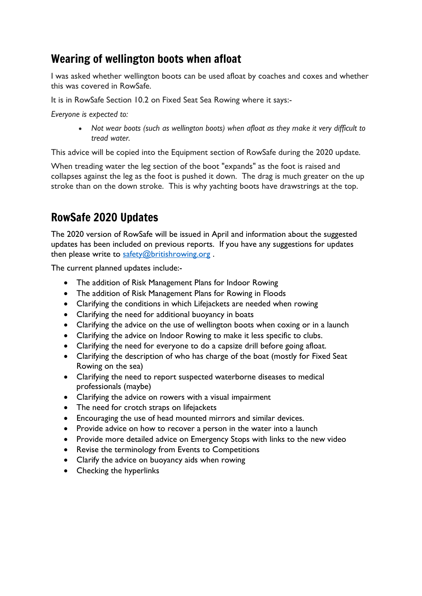## Wearing of wellington boots when afloat

I was asked whether wellington boots can be used afloat by coaches and coxes and whether this was covered in RowSafe.

It is in RowSafe Section 10.2 on Fixed Seat Sea Rowing where it says:-

*Everyone is expected to:*

• *Not wear boots (such as wellington boots) when afloat as they make it very difficult to tread water.*

This advice will be copied into the Equipment section of RowSafe during the 2020 update.

When treading water the leg section of the boot "expands" as the foot is raised and collapses against the leg as the foot is pushed it down. The drag is much greater on the up stroke than on the down stroke. This is why yachting boots have drawstrings at the top.

# RowSafe 2020 Updates

The 2020 version of RowSafe will be issued in April and information about the suggested updates has been included on previous reports. If you have any suggestions for updates then please write to [safety@britishrowing.org](mailto:safety@britishrowing.org).

The current planned updates include:-

- The addition of Risk Management Plans for Indoor Rowing
- The addition of Risk Management Plans for Rowing in Floods
- Clarifying the conditions in which Lifejackets are needed when rowing
- Clarifying the need for additional buoyancy in boats
- Clarifying the advice on the use of wellington boots when coxing or in a launch
- Clarifying the advice on Indoor Rowing to make it less specific to clubs.
- Clarifying the need for everyone to do a capsize drill before going afloat.
- Clarifying the description of who has charge of the boat (mostly for Fixed Seat Rowing on the sea)
- Clarifying the need to report suspected waterborne diseases to medical professionals (maybe)
- Clarifying the advice on rowers with a visual impairment
- The need for crotch straps on lifejackets
- Encouraging the use of head mounted mirrors and similar devices.
- Provide advice on how to recover a person in the water into a launch
- Provide more detailed advice on Emergency Stops with links to the new video
- Revise the terminology from Events to Competitions
- Clarify the advice on buoyancy aids when rowing
- Checking the hyperlinks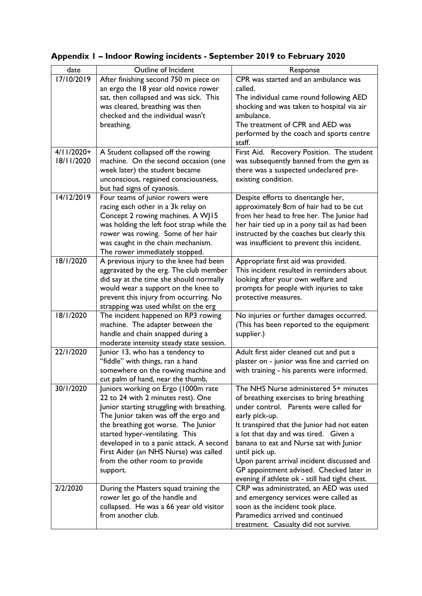| date         | Outline of Incident                        | Response                                       |
|--------------|--------------------------------------------|------------------------------------------------|
| 17/10/2019   | After finishing second 750 m piece on      | CPR was started and an ambulance was           |
|              | an ergo the 18 year old novice rower       | called.                                        |
|              | sat, then collapsed and was sick. This     | The individual came round following AED        |
|              | was cleared, breathing was then            | shocking and was taken to hospital via air     |
|              | checked and the individual wasn't          | ambulance.                                     |
|              | breathing.                                 | The treatment of CPR and AED was               |
|              |                                            | performed by the coach and sports centre       |
|              |                                            | staff.                                         |
| $4/11/2020+$ | A Student collapsed off the rowing         | First Aid. Recovery Position. The student      |
| 18/11/2020   | machine. On the second occasion (one       | was subsequently banned from the gym as        |
|              | week later) the student became             | there was a suspected undeclared pre-          |
|              | unconscious, regained consciousness,       | existing condition.                            |
|              | but had signs of cyanosis.                 |                                                |
| 14/12/2019   | Four teams of junior rowers were           | Despite efforts to disentangle her,            |
|              | racing each other in a 3k relay on         | approximately 8cm of hair had to be cut        |
|              | Concept 2 rowing machines. A WJ15          | from her head to free her. The Junior had      |
|              | was holding the left foot strap while the  | her hair tied up in a pony tail as had been    |
|              | rower was rowing. Some of her hair         | instructed by the coaches but clearly this     |
|              | was caught in the chain mechanism.         | was insufficient to prevent this incident.     |
|              | The rower immediately stopped.             |                                                |
| 18/1/2020    | A previous injury to the knee had been     | Appropriate first aid was provided.            |
|              | aggravated by the erg. The club member     | This incident resulted in reminders about      |
|              | did say at the time she should normally    | looking after your own welfare and             |
|              | would wear a support on the knee to        | prompts for people with injuries to take       |
|              | prevent this injury from occurring. No     | protective measures.                           |
|              | strapping was used whilst on the erg       |                                                |
| 18/1/2020    | The incident happened on RP3 rowing        | No injuries or further damages occurred.       |
|              | machine. The adapter between the           | (This has been reported to the equipment       |
|              | handle and chain snapped during a          | supplier.)                                     |
|              | moderate intensity steady state session.   |                                                |
| 22/1/2020    | Junior 13, who has a tendency to           | Adult first aider cleaned cut and put a        |
|              | "fiddle" with things, ran a hand           | plaster on - junior was fine and carried on    |
|              | somewhere on the rowing machine and        | with training - his parents were informed.     |
|              | cut palm of hand, near the thumb,          |                                                |
| 30/1/2020    | Juniors working on Ergo (1000m rate        | The NHS Nurse administered 5+ minutes          |
|              | 22 to 24 with 2 minutes rest). One         | of breathing exercises to bring breathing      |
|              | Junior starting struggling with breathing. | under control. Parents were called for         |
|              | The Junior taken was off the ergo and      | early pick-up.                                 |
|              | the breathing got worse. The Junior        | It transpired that the Junior had not eaten    |
|              | started hyper-ventilating. This            | a lot that day and was tired. Given a          |
|              | developed in to a panic attack. A second   | banana to eat and Nurse sat with Junior        |
|              | First Aider (an NHS Nurse) was called      | until pick up.                                 |
|              | from the other room to provide             | Upon parent arrival incident discussed and     |
|              | support.                                   | GP appointment advised. Checked later in       |
|              |                                            | evening if athlete ok - still had tight chest. |
| 2/2/2020     | During the Masters squad training the      | CRP was administrated, an AED was used         |
|              | rower let go of the handle and             | and emergency services were called as          |
|              | collapsed. He was a 66 year old visitor    | soon as the incident took place.               |
|              | from another club.                         | Paramedics arrived and continued               |
|              |                                            | treatment. Casualty did not survive.           |

## **Appendix 1 – Indoor Rowing incidents - September 2019 to February 2020**